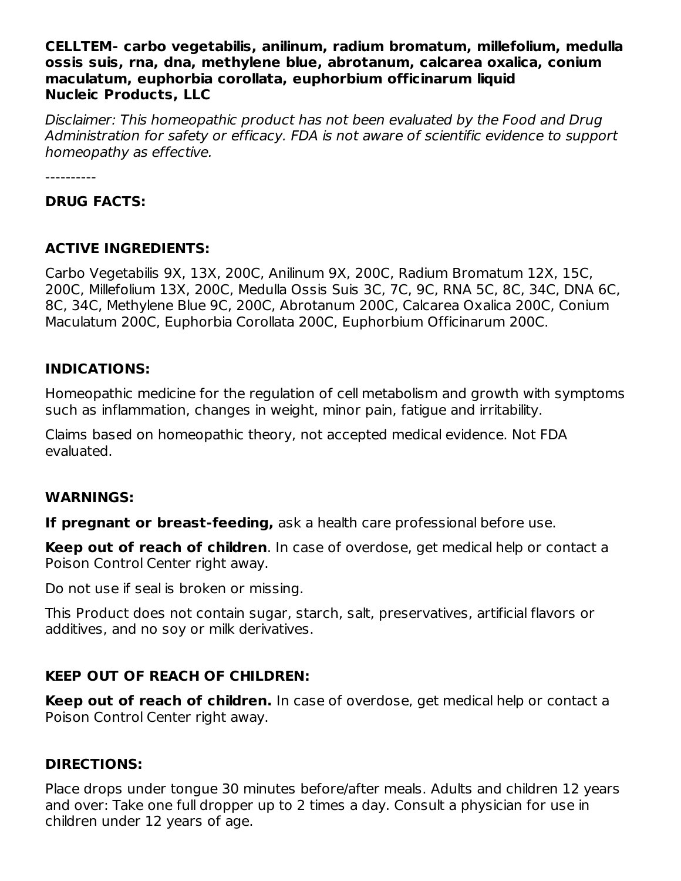#### **CELLTEM- carbo vegetabilis, anilinum, radium bromatum, millefolium, medulla ossis suis, rna, dna, methylene blue, abrotanum, calcarea oxalica, conium maculatum, euphorbia corollata, euphorbium officinarum liquid Nucleic Products, LLC**

Disclaimer: This homeopathic product has not been evaluated by the Food and Drug Administration for safety or efficacy. FDA is not aware of scientific evidence to support homeopathy as effective.

----------

#### **DRUG FACTS:**

### **ACTIVE INGREDIENTS:**

Carbo Vegetabilis 9X, 13X, 200C, Anilinum 9X, 200C, Radium Bromatum 12X, 15C, 200C, Millefolium 13X, 200C, Medulla Ossis Suis 3C, 7C, 9C, RNA 5C, 8C, 34C, DNA 6C, 8C, 34C, Methylene Blue 9C, 200C, Abrotanum 200C, Calcarea Oxalica 200C, Conium Maculatum 200C, Euphorbia Corollata 200C, Euphorbium Officinarum 200C.

### **INDICATIONS:**

Homeopathic medicine for the regulation of cell metabolism and growth with symptoms such as inflammation, changes in weight, minor pain, fatigue and irritability.

Claims based on homeopathic theory, not accepted medical evidence. Not FDA evaluated.

### **WARNINGS:**

**If pregnant or breast-feeding,** ask a health care professional before use.

**Keep out of reach of children**. In case of overdose, get medical help or contact a Poison Control Center right away.

Do not use if seal is broken or missing.

This Product does not contain sugar, starch, salt, preservatives, artificial flavors or additives, and no soy or milk derivatives.

## **KEEP OUT OF REACH OF CHILDREN:**

**Keep out of reach of children.** In case of overdose, get medical help or contact a Poison Control Center right away.

## **DIRECTIONS:**

Place drops under tongue 30 minutes before/after meals. Adults and children 12 years and over: Take one full dropper up to 2 times a day. Consult a physician for use in children under 12 years of age.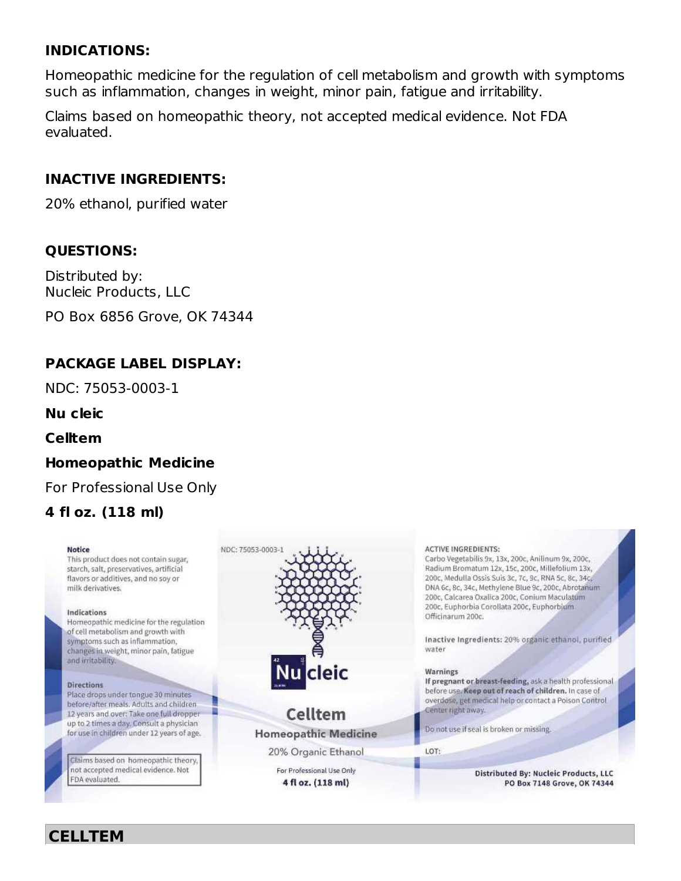## **INDICATIONS:**

Homeopathic medicine for the regulation of cell metabolism and growth with symptoms such as inflammation, changes in weight, minor pain, fatigue and irritability.

Claims based on homeopathic theory, not accepted medical evidence. Not FDA evaluated.

## **INACTIVE INGREDIENTS:**

20% ethanol, purified water

## **QUESTIONS:**

Distributed by: Nucleic Products, LLC

PO Box 6856 Grove, OK 74344

## **PACKAGE LABEL DISPLAY:**

NDC: 75053-0003-1

**Nu cleic**

**Celltem**

## **Homeopathic Medicine**

For Professional Use Only

## **4 fl oz. (118 ml)**

#### **Notice**

This product does not contain sugar. starch, salt, preservatives, artificial flavors or additives, and no soy or milk derivatives.

#### Indications

Homeopathic medicine for the regulation of cell metabolism and growth with symptoms such as inflammation, changes in weight, minor pain, fatigue and irritability.

#### Directions

Place drops under tongue 30 minutes before/after meals. Adults and children 12 years and over: Take one full dropper up to 2 times a day, Consult a physician for use in children under 12 years of age.

Claims based on homeopathic theory, not accepted medical evidence. Not FDA evaluated.



#### **Celltem Homeopathic Medicine**

20% Organic Ethanol

For Professional Use Only 4 fl oz. (118 ml)

**ACTIVE INGREDIENTS:** Carbo Vegetabilis 9x, 13x, 200c, Anilinum 9x, 200c, Radium Bromatum 12x, 15c, 200c, Millefolium 13x, 200c, Medulla Ossis Suis 3c, 7c, 9c, RNA 5c, 8c, 34c, DNA 6c, 8c, 34c, Methylene Blue 9c, 200c, Abrotanum 200c, Calcarea Oxalica 200c, Conium Maculatum 200c, Euphorbia Corollata 200c, Euphorbium Officinarum 200c. Inactive Ingredients: 20% organic ethanol, purified water

#### Warnings

If pregnant or breast-feeding, ask a health professional before use. Keep out of reach of children. In case of overdose, get medical help or contact a Poison Control Center right away.

Do not use if seal is broken or missing.

LOT:

Distributed By: Nucleic Products, LLC PO Box 7148 Grove, OK 74344

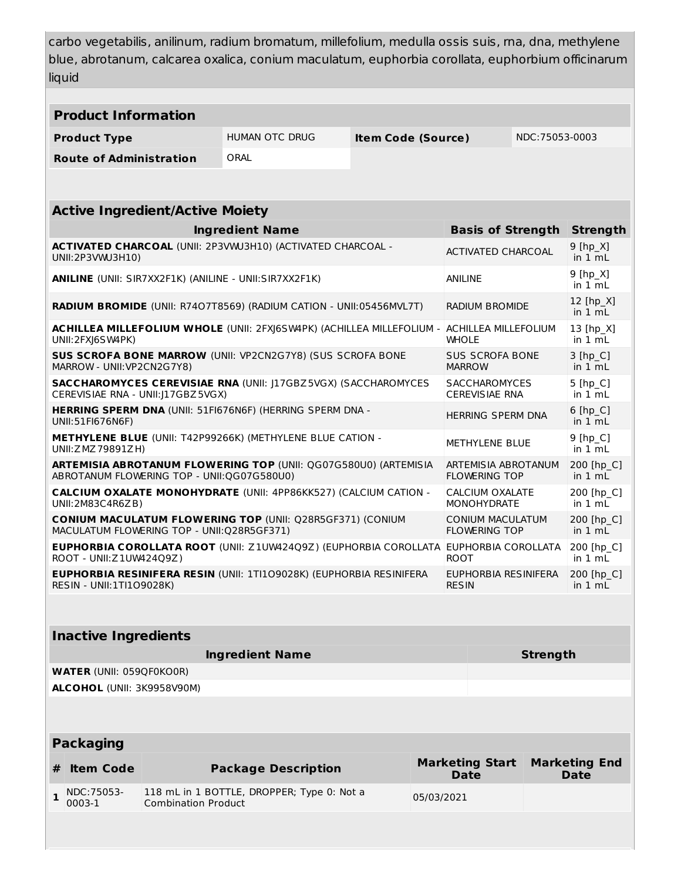carbo vegetabilis, anilinum, radium bromatum, millefolium, medulla ossis suis, rna, dna, methylene blue, abrotanum, calcarea oxalica, conium maculatum, euphorbia corollata, euphorbium officinarum liquid

| <b>Product Information</b>                                                                                                                                        |                                |                            |                                                    |  |            |                                       |  |                                     |  |  |  |  |
|-------------------------------------------------------------------------------------------------------------------------------------------------------------------|--------------------------------|----------------------------|----------------------------------------------------|--|------------|---------------------------------------|--|-------------------------------------|--|--|--|--|
| <b>Product Type</b>                                                                                                                                               |                                |                            | <b>HUMAN OTC DRUG</b><br><b>Item Code (Source)</b> |  |            | NDC:75053-0003                        |  |                                     |  |  |  |  |
|                                                                                                                                                                   | <b>Route of Administration</b> |                            | ORAL                                               |  |            |                                       |  |                                     |  |  |  |  |
|                                                                                                                                                                   |                                |                            |                                                    |  |            |                                       |  |                                     |  |  |  |  |
| <b>Active Ingredient/Active Moiety</b>                                                                                                                            |                                |                            |                                                    |  |            |                                       |  |                                     |  |  |  |  |
| <b>Ingredient Name</b><br><b>Basis of Strength</b>                                                                                                                |                                |                            |                                                    |  |            |                                       |  |                                     |  |  |  |  |
| ACTIVATED CHARCOAL (UNII: 2P3VWJ3H10) (ACTIVATED CHARCOAL -<br><b>ACTIVATED CHARCOAL</b><br>UNII:2P3VWJ3H10)                                                      |                                |                            |                                                    |  |            |                                       |  |                                     |  |  |  |  |
| <b>ANILINE</b> (UNII: SIR7XX2F1K) (ANILINE - UNII:SIR7XX2F1K)<br>ANILINE                                                                                          |                                |                            |                                                    |  |            |                                       |  |                                     |  |  |  |  |
| RADIUM BROMIDE (UNII: R7407T8569) (RADIUM CATION - UNII:05456MVL7T)<br><b>RADIUM BROMIDE</b>                                                                      |                                |                            |                                                    |  |            |                                       |  |                                     |  |  |  |  |
| ACHILLEA MILLEFOLIUM WHOLE (UNII: 2FXJ6SW4PK) (ACHILLEA MILLEFOLIUM -<br>ACHILLEA MILLEFOLIUM<br>UNII:2FXJ6SW4PK)<br><b>WHOLE</b>                                 |                                |                            |                                                    |  |            |                                       |  |                                     |  |  |  |  |
| <b>SUS SCROFA BONE MARROW (UNII: VP2CN2G7Y8) (SUS SCROFA BONE</b><br><b>SUS SCROFA BONE</b><br>MARROW - UNII: VP2CN2G7Y8)<br><b>MARROW</b>                        |                                |                            |                                                    |  |            |                                       |  |                                     |  |  |  |  |
| <b>SACCHAROMYCES CEREVISIAE RNA (UNII: J17GBZ5VGX) (SACCHAROMYCES</b><br><b>SACCHAROMYCES</b><br>CEREVISIAE RNA - UNII:J17GBZ5VGX)<br><b>CEREVISIAE RNA</b>       |                                |                            |                                                    |  |            |                                       |  |                                     |  |  |  |  |
| HERRING SPERM DNA (UNII: 51FI676N6F) (HERRING SPERM DNA -<br><b>HERRING SPERM DNA</b><br>UNII:51FI676N6F)                                                         |                                |                            |                                                    |  |            |                                       |  |                                     |  |  |  |  |
| METHYLENE BLUE (UNII: T42P99266K) (METHYLENE BLUE CATION -<br><b>METHYLENE BLUE</b><br>UNII: Z MZ 79891ZH)                                                        |                                |                            |                                                    |  |            |                                       |  |                                     |  |  |  |  |
| ARTEMISIA ABROTANUM FLOWERING TOP (UNII: QG07G580U0) (ARTEMISIA<br>ARTEMISIA ABROTANUM<br>ABROTANUM FLOWERING TOP - UNII:QG07G580U0)<br><b>FLOWERING TOP</b>      |                                |                            |                                                    |  |            |                                       |  | 200 [hp C]<br>in $1 mL$             |  |  |  |  |
| <b>CALCIUM OXALATE MONOHYDRATE (UNII: 4PP86KK527) (CALCIUM CATION -</b><br>CALCIUM OXALATE<br>UNII:2M83C4R6ZB)<br><b>MONOHYDRATE</b>                              |                                |                            |                                                    |  |            |                                       |  |                                     |  |  |  |  |
| <b>CONIUM MACULATUM FLOWERING TOP (UNII: Q28R5GF371) (CONIUM</b><br><b>CONIUM MACULATUM</b><br>MACULATUM FLOWERING TOP - UNII:Q28R5GF371)<br><b>FLOWERING TOP</b> |                                |                            |                                                    |  |            |                                       |  |                                     |  |  |  |  |
| <b>EUPHORBIA COROLLATA ROOT (UNII: Z1UW424Q9Z) (EUPHORBIA COROLLATA EUPHORBIA COROLLATA</b><br>ROOT - UNII: Z 1 UW42409Z)<br><b>ROOT</b>                          |                                |                            |                                                    |  |            |                                       |  |                                     |  |  |  |  |
| <b>EUPHORBIA RESINIFERA RESIN (UNII: 1TI1O9028K) (EUPHORBIA RESINIFERA</b><br>EUPHORBIA RESINIFERA<br><b>RESIN - UNII:1TI109028K)</b><br><b>RESIN</b>             |                                |                            |                                                    |  |            |                                       |  |                                     |  |  |  |  |
|                                                                                                                                                                   |                                |                            |                                                    |  |            |                                       |  |                                     |  |  |  |  |
|                                                                                                                                                                   | <b>Inactive Ingredients</b>    |                            |                                                    |  |            |                                       |  |                                     |  |  |  |  |
| <b>Ingredient Name</b><br><b>Strength</b>                                                                                                                         |                                |                            |                                                    |  |            |                                       |  |                                     |  |  |  |  |
| <b>WATER (UNII: 059QF0KO0R)</b>                                                                                                                                   |                                |                            |                                                    |  |            |                                       |  |                                     |  |  |  |  |
|                                                                                                                                                                   | ALCOHOL (UNII: 3K9958V90M)     |                            |                                                    |  |            |                                       |  |                                     |  |  |  |  |
|                                                                                                                                                                   |                                |                            |                                                    |  |            |                                       |  |                                     |  |  |  |  |
| <b>Packaging</b>                                                                                                                                                  |                                |                            |                                                    |  |            |                                       |  |                                     |  |  |  |  |
| #                                                                                                                                                                 | <b>Item Code</b>               |                            | <b>Package Description</b>                         |  |            | <b>Marketing Start</b><br><b>Date</b> |  | <b>Marketing End</b><br><b>Date</b> |  |  |  |  |
| 1                                                                                                                                                                 | NDC: 75053-<br>0003-1          | <b>Combination Product</b> | 118 mL in 1 BOTTLE, DROPPER; Type 0: Not a         |  | 05/03/2021 |                                       |  |                                     |  |  |  |  |
|                                                                                                                                                                   |                                |                            |                                                    |  |            |                                       |  |                                     |  |  |  |  |